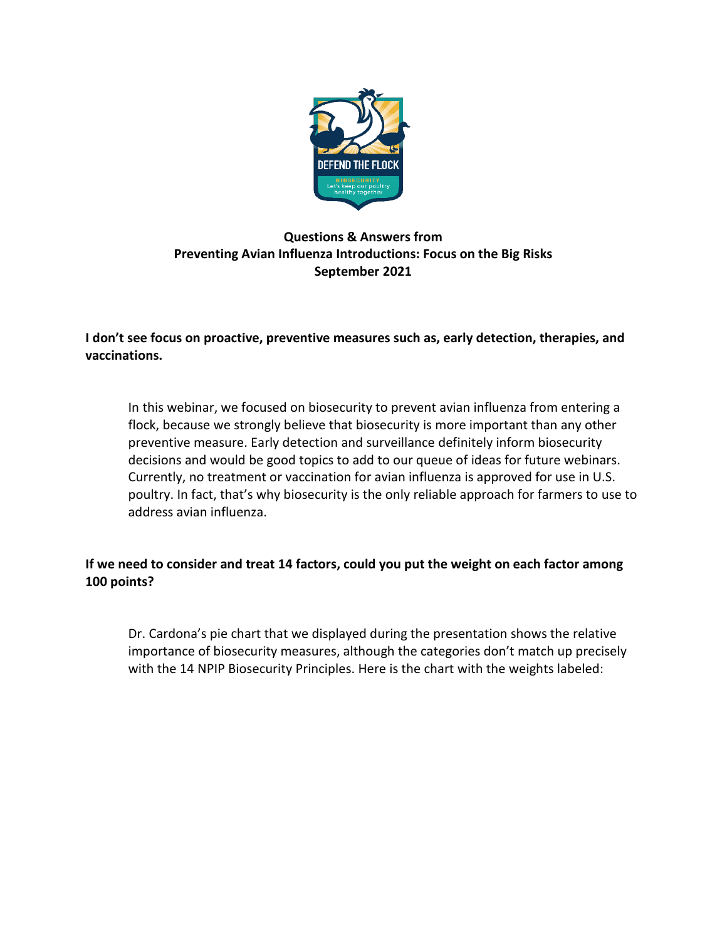

## **Questions & Answers from Preventing Avian Influenza Introductions: Focus on the Big Risks September 2021**

**I don't see focus on proactive, preventive measures such as, early detection, therapies, and vaccinations.**

In this webinar, we focused on biosecurity to prevent avian influenza from entering a flock, because we strongly believe that biosecurity is more important than any other preventive measure. Early detection and surveillance definitely inform biosecurity decisions and would be good topics to add to our queue of ideas for future webinars. Currently, no treatment or vaccination for avian influenza is approved for use in U.S. poultry. In fact, that's why biosecurity is the only reliable approach for farmers to use to address avian influenza.

## **If we need to consider and treat 14 factors, could you put the weight on each factor among 100 points?**

Dr. Cardona's pie chart that we displayed during the presentation shows the relative importance of biosecurity measures, although the categories don't match up precisely with the 14 NPIP Biosecurity Principles. Here is the chart with the weights labeled: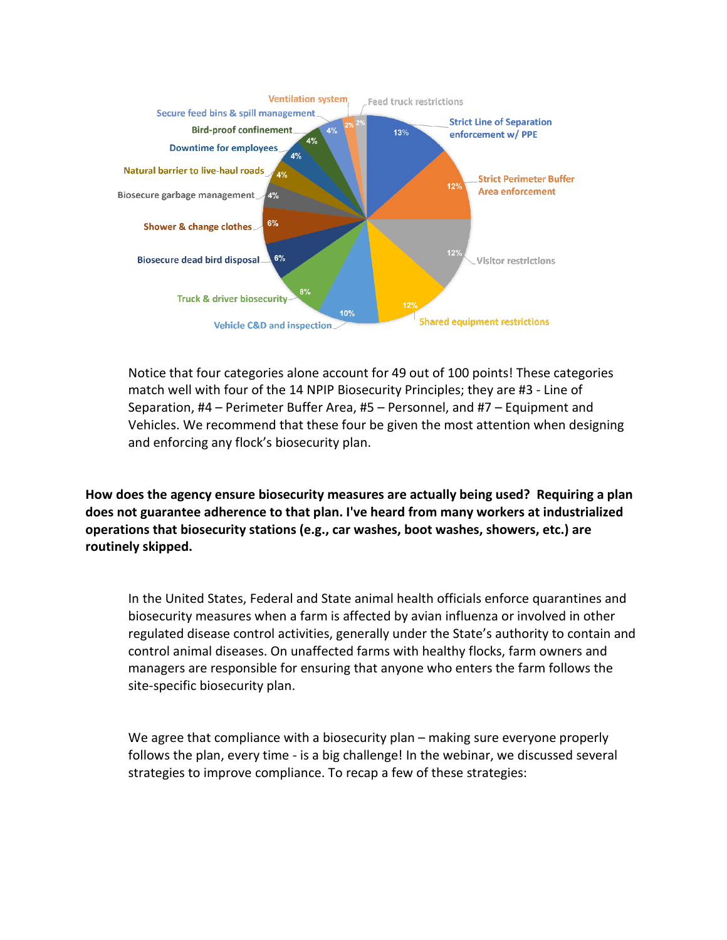

Notice that four categories alone account for 49 out of 100 points! These categories match well with four of the 14 NPIP Biosecurity Principles; they are #3 - Line of Separation, #4 – Perimeter Buffer Area, #5 – Personnel, and #7 – Equipment and Vehicles. We recommend that these four be given the most attention when designing and enforcing any flock's biosecurity plan.

**How does the agency ensure biosecurity measures are actually being used? Requiring a plan does not guarantee adherence to that plan. I've heard from many workers at industrialized operations that biosecurity stations (e.g., car washes, boot washes, showers, etc.) are routinely skipped.**

In the United States, Federal and State animal health officials enforce quarantines and biosecurity measures when a farm is affected by avian influenza or involved in other regulated disease control activities, generally under the State's authority to contain and control animal diseases. On unaffected farms with healthy flocks, farm owners and managers are responsible for ensuring that anyone who enters the farm follows the site-specific biosecurity plan.

We agree that compliance with a biosecurity plan – making sure everyone properly follows the plan, every time - is a big challenge! In the webinar, we discussed several strategies to improve compliance. To recap a few of these strategies: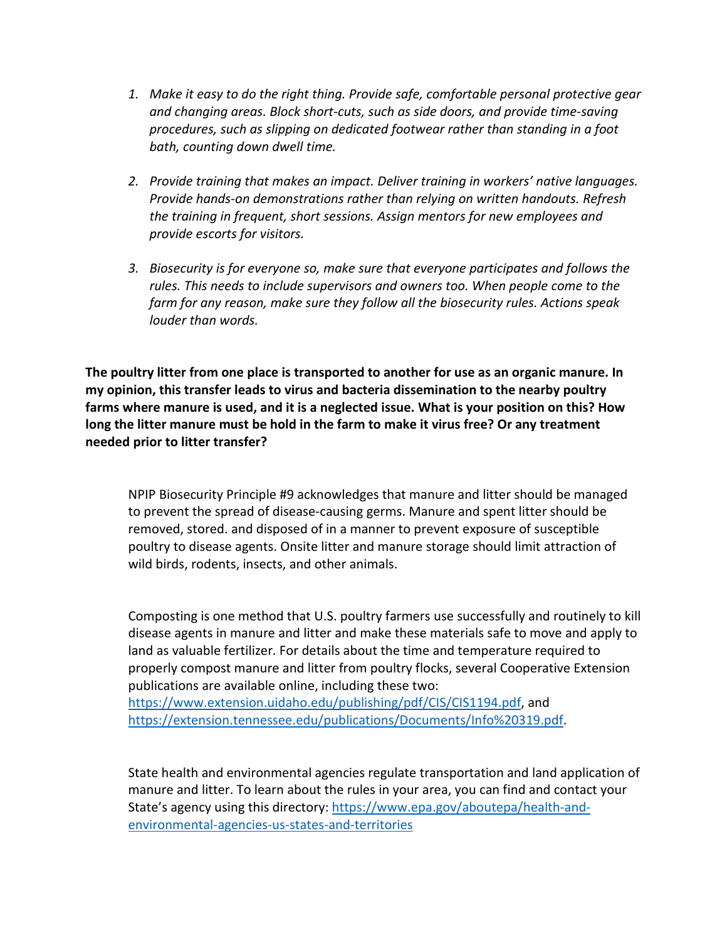- *1. Make it easy to do the right thing. Provide safe, comfortable personal protective gear and changing areas. Block short-cuts, such as side doors, and provide time-saving procedures, such as slipping on dedicated footwear rather than standing in a foot bath, counting down dwell time.*
- *2. Provide training that makes an impact. Deliver training in workers' native languages. Provide hands-on demonstrations rather than relying on written handouts. Refresh the training in frequent, short sessions. Assign mentors for new employees and provide escorts for visitors.*
- *3. Biosecurity is for everyone so, make sure that everyone participates and follows the rules. This needs to include supervisors and owners too. When people come to the farm for any reason, make sure they follow all the biosecurity rules. Actions speak louder than words.*

**The poultry litter from one place is transported to another for use as an organic manure. In my opinion, this transfer leads to virus and bacteria dissemination to the nearby poultry farms where manure is used, and it is a neglected issue. What is your position on this? How long the litter manure must be hold in the farm to make it virus free? Or any treatment needed prior to litter transfer?**

NPIP Biosecurity Principle #9 acknowledges that manure and litter should be managed to prevent the spread of disease-causing germs. Manure and spent litter should be removed, stored. and disposed of in a manner to prevent exposure of susceptible poultry to disease agents. Onsite litter and manure storage should limit attraction of wild birds, rodents, insects, and other animals.

Composting is one method that U.S. poultry farmers use successfully and routinely to kill disease agents in manure and litter and make these materials safe to move and apply to land as valuable fertilizer. For details about the time and temperature required to properly compost manure and litter from poultry flocks, several Cooperative Extension publications are available online, including these two: [https://www.extension.uidaho.edu/publishing/pdf/CIS/CIS1194.pdf,](https://www.extension.uidaho.edu/publishing/pdf/CIS/CIS1194.pdf) and

[https://extension.tennessee.edu/publications/Documents/Info%20319.pdf.](https://extension.tennessee.edu/publications/Documents/Info%20319.pdf)

State health and environmental agencies regulate transportation and land application of manure and litter. To learn about the rules in your area, you can find and contact your State's agency using this directory[: https://www.epa.gov/aboutepa/health-and](https://www.epa.gov/aboutepa/health-and-environmental-agencies-us-states-and-territories)[environmental-agencies-us-states-and-territories](https://www.epa.gov/aboutepa/health-and-environmental-agencies-us-states-and-territories)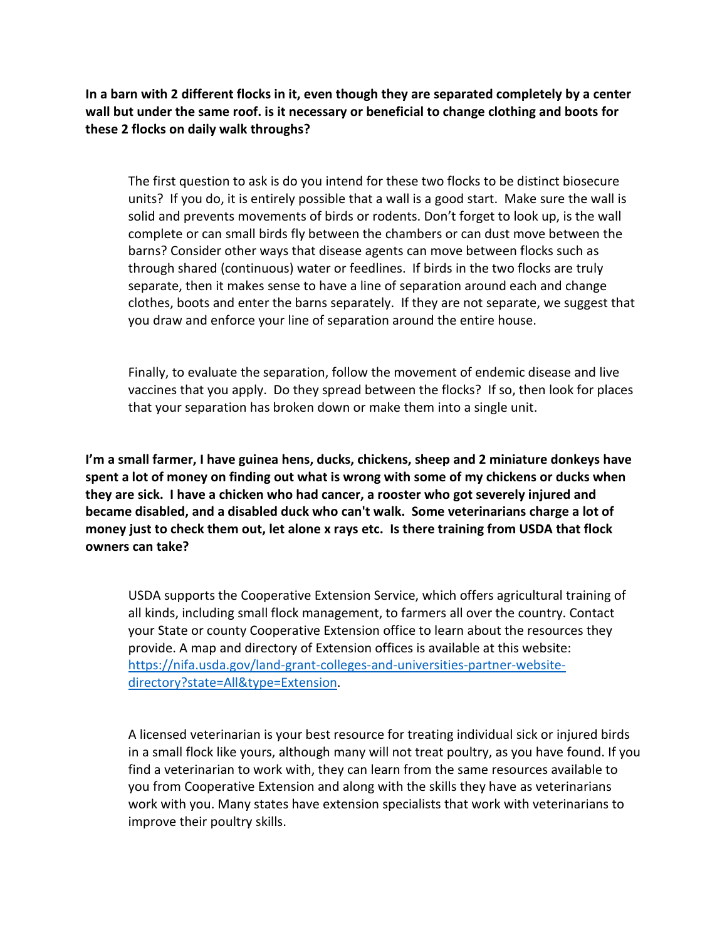**In a barn with 2 different flocks in it, even though they are separated completely by a center wall but under the same roof. is it necessary or beneficial to change clothing and boots for these 2 flocks on daily walk throughs?**

The first question to ask is do you intend for these two flocks to be distinct biosecure units? If you do, it is entirely possible that a wall is a good start. Make sure the wall is solid and prevents movements of birds or rodents. Don't forget to look up, is the wall complete or can small birds fly between the chambers or can dust move between the barns? Consider other ways that disease agents can move between flocks such as through shared (continuous) water or feedlines. If birds in the two flocks are truly separate, then it makes sense to have a line of separation around each and change clothes, boots and enter the barns separately. If they are not separate, we suggest that you draw and enforce your line of separation around the entire house.

Finally, to evaluate the separation, follow the movement of endemic disease and live vaccines that you apply. Do they spread between the flocks? If so, then look for places that your separation has broken down or make them into a single unit.

**I'm a small farmer, I have guinea hens, ducks, chickens, sheep and 2 miniature donkeys have spent a lot of money on finding out what is wrong with some of my chickens or ducks when they are sick. I have a chicken who had cancer, a rooster who got severely injured and became disabled, and a disabled duck who can't walk. Some veterinarians charge a lot of money just to check them out, let alone x rays etc. Is there training from USDA that flock owners can take?**

USDA supports the Cooperative Extension Service, which offers agricultural training of all kinds, including small flock management, to farmers all over the country. Contact your State or county Cooperative Extension office to learn about the resources they provide. A map and directory of Extension offices is available at this website: [https://nifa.usda.gov/land-grant-colleges-and-universities-partner-website](https://nifa.usda.gov/land-grant-colleges-and-universities-partner-website-directory?state=All&type=Extension)[directory?state=All&type=Extension.](https://nifa.usda.gov/land-grant-colleges-and-universities-partner-website-directory?state=All&type=Extension)

A licensed veterinarian is your best resource for treating individual sick or injured birds in a small flock like yours, although many will not treat poultry, as you have found. If you find a veterinarian to work with, they can learn from the same resources available to you from Cooperative Extension and along with the skills they have as veterinarians work with you. Many states have extension specialists that work with veterinarians to improve their poultry skills.